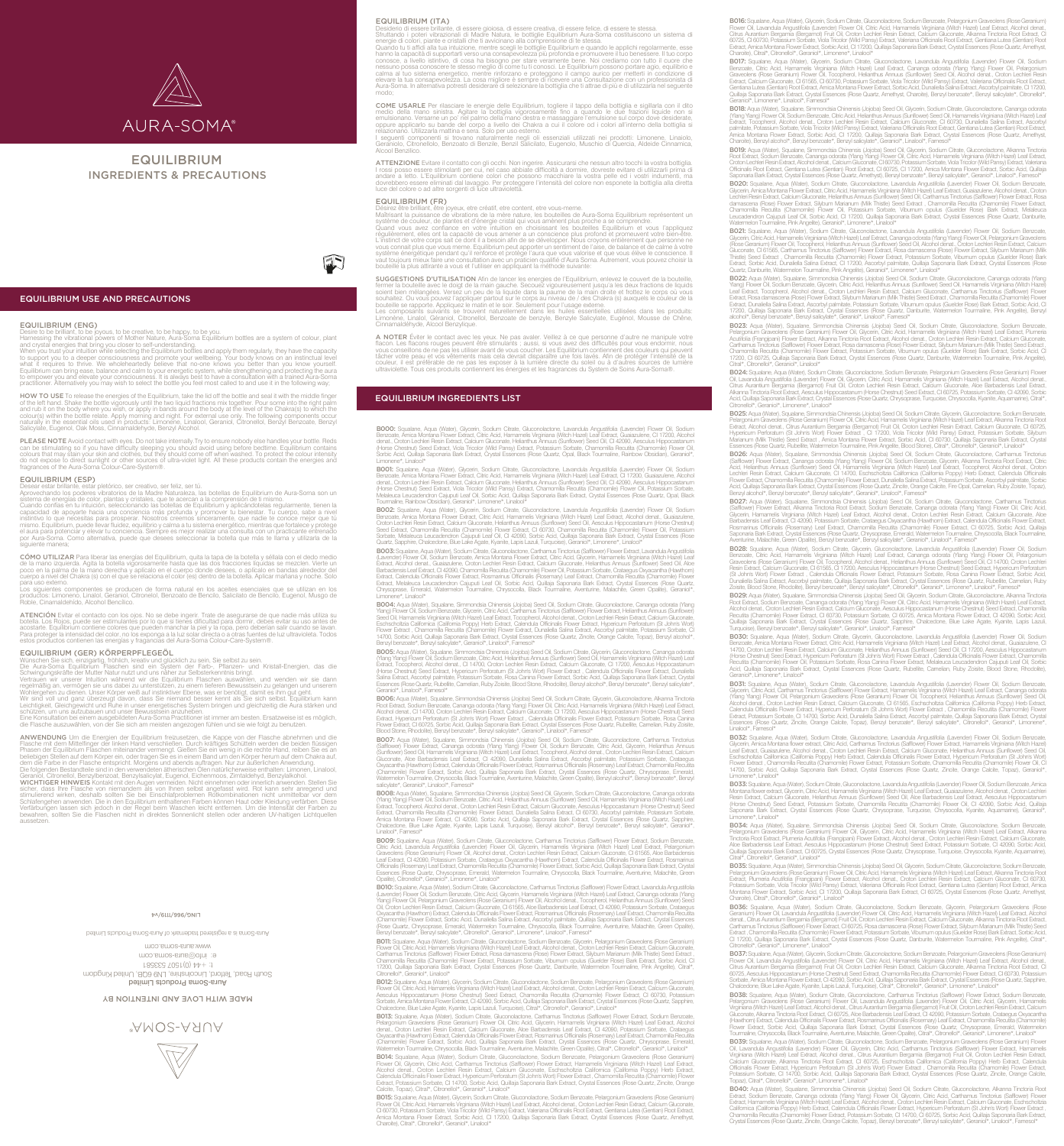

# EQUILIBRIUM INGREDIENTS & PRECAUTIONS



EQUILIBRIUM USE AND PRECAUTIONS

## EQUILIBRIUM (ENG)

Desire to be brilliant, to be joyous, to be creative, to be happy, to be you. Harnessing the vibrational powers of Mother Nature, Aura-Soma Equilibrium bottles are a system of colour, plant

and crystal energies that bring you closer to self-understanding<br>when you trust your intuition while selecting the Equilibrium bottles and apply them regularly, they have the capacity<br>to support you to a deeper consciousne

**HOW TO USE** To release the energies of the Equilibrium, take the lid off the bottle and seal it with the middle finger<br>of the left hand. Shake the bottle vigorously until the two liquid fractions mix together. Pour some i

**PLEASE NOTE Avoid contact with eyes. Do not take internally. Try to ensure nobody else handles your bottle. Reds<br>can be stimulating so if you have difficulty sleeping you should avoid using before bedtime. Equilibrium con** 

## EQUILIBRIUM (ESP)

Desear estar brillante, estar pletórico, ser creativo, ser feliz, ser tú.<br>Aprovechando los poderes vibratorios de la Madre Naturaleza, las botellas de Equilibrium de Aura-Soma son un<br>sistema de energías de color, plantas y

CÓMO UTILIZAR Para liberar las energías del Equilibrium, quita la tapa de la botella y séllala con el dedo medio de la mano izquierda. Agita la botella vigorosamente hasta que las dos fracciones líquidas se mezclen. Vierte un<br>poco en la palma de la mano derecha y aplícalo en el cuerpo donde desees, o aplícalo en bandas alrededor del<br>

para uso externo.<br>Los siguientes componentes se producen de forma natural en los aceites esenciales que se utilizan en los<br>productos: Limoneno, Linalol, Geraniol, Citronelol, Benzoato de Bencilo, Salicilato de Bencilo, Eug

ATENCIÓN Evitar el contacto con los ojos. No se debe ingerir. Trate de asegurarse de que nadie más utiliza su botella. Los Rojos, puede ser estimulantes por lo que si tienes dificultad para dormir, debes evitar su uso antes de<br>acostarte. Equilibrium contiene colores que pueden manchar la piel y la ropa, pero deberían salir cuando

### EQUILIBRIUM (GER) KÖRPERPFLEGEÖL

Wünschen Sie sich, einzigartig, fröhlich, kreativ und glücklich zu sein, Sie selbst zu sein.<br>Die Aura-Soma Equilibrium Flaschen sind ein System der Farb-, Pflanzen- und Kristall-Energien, das die<br>Schwingungskräfte der Mutt

regelmäßig an, vermögen sie uns dabei zu unterstützen, zu einem tieferen Bewusstsein zu gelangen und unserem<br>Wohlergehen zu dienen. Unser Körper weiß auf instinktiver Ebene, was er benötigt, damit es ihm gut geht.<br>Wir sind

die Flasche auszuwählen, von der Sie sich am meisten angezogen fühlen und sie wie folgt zu benutzen

ANWENDUNG Um die Energien der Equilibrium freizuestzen, die Kappe von der Flasche abnehmen und die Rappe von der Flaschen and die Flaschen and die Phasen der Equilibrium Flaschen mitteinander vermengt. Gießen Sie ein wenig

#### **74/6LLL/996/9NIT**

Aura-Soma Products Limited South Road, Terford, Lincolnshire, LN9 6QB, United Kingdom  $100$  th:  $1001$   $100$ e: info@aura.com moo.smos-suus.www betimid a product a m - So a product a products Limit and a remorphent products a radio  $\alpha$ 

# MADE WITH LOVE AND INTENTION BY

**AMOS-AAUA** 



**EQUILIBRIUM (ITA)**<br>Consideration in the Consideration of the Section of Desiderio in Section of the Desiderio di poser brillante, di essere gioiosa, di essere creativa, di essere felice, di essere te stessa.<br>
Struttando i

**COME USARLE** Per rilasciare le energie delle Equilibrium, togliere il tappo della bottiglia e sigillarla con il dito medio della mano sinistra. Agitare la bottiglia vigorosamente fino a quando le due frazioni liquide non

**ATTENZIONE** Evitare il contatto con gli occhi. Non ingerire. Assicurarsi che nessun altro tocchi la vostra bottiglia.<br>I rossi posso essere stimolanti per cui, nel caso abbiate difficoltà a dormire, dovreste evitare di uti

**EQUILIBRIUM (FR)**<br>
Désirez être brilliant, être youx, etre créatif, etre content, etre vous-meme.<br>
Désirez être brilliant, être joyeux, etre créatif, etre content, etre vous-meme.<br>
Maîtrisant la puissance de vibrations de

**SUGGESTIONS D'UTILISATION** Afin de lancer les energies de l'Equilibrium, enlevez le couvert de la bouteille,<br>fermer la bouteille avec le doigt de la main gauche. Secouze vigoureusement jusqu'a les deux fractions de liquid

A NOTER Eviter le contact avec les yeux. Ne pas avaler. Veillez à ce que personne d'autre ne manipule votre<br>flacon. Les flacons rouges peuvent être stimulants ; aussi, si vous avez des difficultés pour vous endormir, nous<br>

# EQUILIBRIUM INGREDIENTS LIST

**BOOO:** Squalane, Aqua (Water), Glycerin, Sodium Citrate, Gluconolactone, Lavandula Angustifolia (Lavender) Flower Oil, Sodium<br>Benzoate, Amica Montana Flower Extract, Citric Acid, Hamamelis Virginiana (Witch Hazel) Leaf Ex .<br>Sorbic Acid, Quillaja Saponaria Bark Extract, Crystal Essences (Rose Quartz, Opal, Black Tourmaline, Rainbow Obsidian), Geraniol Limonene\*, Linalool\*

**BOO1:** Squalane, Aqua (Water), Glycerin, Sodium Citrate, Gluconolactone, Lavandula Angustifolia (Lavender) Flower Oll, Sodium<br>Berzoate, Amica Montana Flower Extract, Citric Acid, Hamamelis Virginiana (Witch Hazel) Leaf Ex

**BOO2:** Squalane, Aqua (Water), Glycerin, Sodium Citrate, Gluconolactone, Lavandula Angustifolia (Lavender) Flower Oil, Sodium<br>Berzoate, Amica Montana Flower Extract, Citric Acid, Hamamelis Virginiana (Witch Haze) Leaf Ext

**BOO3:** Squalane, Aqua (Water), Sodium Citrate, Gluconolactone, Carthamus Tinctorius (Safflower) Flower Extract, Lavandula Angustifolia<br>(Lavander) Flower Oli, Sodium Berzoate, Amica Montana Flower Extract, Clitric Acid, Gl Limonene\*, Linalool\*

**BOO4:** Aqua (Water), Squalane, Simmondsia Chinensis (Jojoba) Seed Oil, Sodium Citrate, Gluconolactone, Cananga odorata (Ylang)<br>Ylang) Flower Oil, Sodium Benzoate, Glycerin, Citric Acid, Carthamus Tinctorius (Safflower) Fl

**BOOS:** Aqua (Water), Squalane, Simmondsia Chinensis (Jojoba) Seed Oil, Sodium Citrate, Glycerin, Gluconolactone, Cananga odorata<br>(Ylang Ylang) Flower Oil, Sodium Benzoate, Citric Acid, Helianthus Annuus (Sunflower) Seed O Essences (Rose Quartz, Rubellite, Carnelian, Ruby Zoisite, Blood Stone, Rhodolite), Benzyl alcohol\*, Benzyl benzoate\*, Benzyl salicylate\*, Geraniol\*, Linalool\*, Farnesol\*

**BOO6:** Aqua (Water), Squalane, Simmondsia Chinensis (Jojoba) Seed Oil, Sodium Citrate, Glycerin, Gluconolactone, Alkanna Tinctoria<br>Root Extract, Sodium Benzoate, Cananga odorata (Ylang Ylang) Flower Oil, Citric Acid, Hama Flower Extract, CI 60725, Sorbic Acid, Quillaja Saponaria Bark Extract, Crystal Essences (Rose Quartz, Rubellite, Carnelian, Ruby Zoisite,<br>Blood Stone, Rhodolite), Benzyl benzoate\*, Benzyl salicylate\*, Geraniol\*, Linalool\*

**BOO7:** Aqua (Water), Squalane, Simmondsia Chinensis (Jojoba) Seed Oil, Sodium Clirate, Gluconoladone, Carthamus Tinctorius<br>(Safflower) Flower Extract, Cananga odorata (Mang Ylang) Flower Oil, Sodium Berzoate, Citic Acid,

**BOO8:** Aqua (Water), Squalane, Simmondsia Chinensis (Jojoba) Seed Oil, Glycerin, Sodium Citrate, Gluconolactone, Cananga odorata<br>(Many Mang) Flower Oil, Sodium Benzoate, Clitic Acid, Helianthus Annuus (Sunflower) Seed Oil

Linalool\*, Farnesol\*<br>**BOO9:** Squalane, Aqua (Water), Sodium Citrate, Gluconolactone, Carthamus Tinctorius (Safflower) Flower Extract, Sodium Benzoate,<br>**Citric Acid, Lavandula Angustifolia (Lavender)** Flower Oil, Glycerin, Essences (Rose Quartz, Chrysoprase, Emerald, Watermelon Tourmaline, Chrysocolla, Black Tourmaline, Aventurine, Malachite, Green Opalite), Citronellol\*, Geraniol\*, Limonene\*, Linalool\*

**BO10:** Squalane, Aqua (Water), Sodium Citrate, Gluconolactone, Carthamus Tinctorius (Safflower) Flower Extract, Lavandula Angustifolia<br>(Lavander) Flower Oil, Sodium Benzoate, Cliric Acid, Glycerin, Hamamelis Virginiana (W

**BO11:** Squalane, Aqua (Water), Sodium Citrate, Gluconolactone, Sodium Benzoate, Glycerin, Pelargonium Graveolens (Rose Geranium)<br>Flower Oil, Citric Acid, Hamamelis Virginiana (Witch Hazel) Leaf Extract, Alcohol denat, Cro Citronellol\*, Geraniol\*, Linalool\*

B012: Squalane, Aqua (Water), Glycerin, Sodium Citrate, Gluconolactone, Sodium Benzoate, Pelargonium Graveolens (Rose Geranium) Flower Oil, Citric Acid, Hamamelis Virginiana (Witch Hazel) Leaf Extract, Alcohol denat., Croton Lechleri Resin Extract, Calcium Gluconate,<br>Aesculus Hippocastanum (Horse Chestnut) Seed Extract, Chamomilla Recutita (Chamomi Sorbate, Amica Montana Flower Extract, Cl 42090, Sorbic Acid, Quillaja Saponaria Bark Extract, Crystal Essences (Rose Quartz, Sapphire,<br>Chalcedone, Blue Lake Agate, Kyanite, Lapis Lazuli, Turquoise), Citral\*, Citronellol\*,

**BO13:** Squalane, Aqua (Water), Sodium Citrate, Gluconolactone, Carthamus Tinctorius (Safflower) Flower Extract, Sodium Benzoate, Pelacyonium (Browner Off, Chical Collection, The Collection of The detail of production dist **BO14:** Squalane, Aqua (Water), Sodium Citrate, Gluconolactone, Sodium Benzoate, Pelargonium Graveolens (Rose Geranium)<br>Flower Oil, Glycerin, Citric Acid, Carthamus Tinctorius (Safflower) Flower Extract, Hamamelis Virginia Calcite, Topaz), Citral\*, Citronellol\*, Geraniol\*, Linalool\*

B015: Squalane, Aqua (Water), Glycerin, Sodium Citrate, Gluconolactone, Sodium Benzoate, Pelargonium Graveolens (Rose Geranium) Flower Oil, Citric Acid, Hamamelis Virginiana (Witch Hazel) Leaf Extract, Alcohol denat,, Croton Lechleri Resin Extract, Calcium Gluconate,<br>CI 60730, Potassium Sorbate, Viola Tricolor (Wid Pansy) Extract, Valeriana Britori Charoite), Citral\*, Citronellol\*, Geraniol\*, Linalool\*

**BO16:** Squalane, Aqua (Water), Glycerin, Sodium Citrate, Gluconolactone, Sodium Berzoate, Pelargonium Graveolens (Rose Geranium)<br>Flower Oil, Lavandula Angustifolia (Lavender) Flower Oil, Citric Acid, Hamamelis Virginiana

**BO17:** Squalane, Aqua (Water), Glycerin, Sodium Citrate, Gluconolactone, Lavandula Angustifolia (Lavandar) Flower Oil, Sodium<br>Benzoate, Citric Acid, Hamamelis Virginiana (Witch Haze) Leaf Extract, Cananga odorata (Ylang Y Quillaja Saponaria Bark Extract, Crystal Essences (Rose Quartz, Amethyst, Charoite), Benzyl benzoate\*, Benzyl salicylate\*, Citronellol\*,<br>Geraniol\*, Limonene\*, Linalool\*, Farnesol\*

**BO18:** Aqua (Water), Squalane, Simmondsia Chinensis (Jojoba) Seed Oil, Glycerin, Sodium Clirate, Gluconolactone, Cananga odorata<br>(Mang Ylang) Flower Oil, Sodium Benzoate, Cliric Acid, Helianthus Annuus (Sunflower) Seed Oi

**BO19:** Aqua (Water), Squalane, Simmondsia Chinensis (Jojoba) Seed Oil, Glycerin, Sodium Citzte, Gluconolactone, Alkanna Tinctoria<br>Root Extract, Sodium Benzoate, Sanmondsia Chinensis (Jojoba) Sever Oil, Citric Acid, Hamame **B020:** Squalane, Aqua (Water), Sodium Citrate, Gluconolactone, Lavandula Angustifolia (Lavender) Flower Oil, Sodium Benzoate,<br>Glycerin, Amica Montana Flower Extract, Citric Acid, Hamamelis Virginiana (Witch Hazel) Leaf Ex Chamomilla Recutita (Chamomile) Flower Oil, Potassium Sorbate, Vibumum opulus (Guelder Rose) Bark Extract, Melaleuca<br>Leucadendron Cajuputi Leaf Oil, Sorbic Acid, Cl 17200, Quillaja Saponaria Bark Extract, Crystal Essences

1902: Squalane, Aqua (Watey), Sodium Citate, Gluoonolactone, Lavandula Angustifolia (Lavander) Flower Oil, Sodium Benzate, Glycorin, Citate, Glycorin, Citate, Glycorin, Citate, Glycorin, Citate, Glycorin, Citate, Glycorin,

**BO22:** Aqua (Water), Squalane, Simmondsia Chinensis (Jojoba) Seed Oil, Sodium Citrate, Giuconolactone, Cananga odorata (Yang)<br>Yang) Flower Oil, Sodium Benzoale, Glycerin, Citric Acid, Helianthus Annuus (Sunflower) Seed Oi

**BO23:** Aqua (Water), Squalane, Simmondsia Chinensis (Jojoba) Seed Oil, Sodium Citrate, Gluconolactone, Sodium Benzoate,<br>Pelargonium Graveolens (Rose Geranium) Flower Oil, Glycerin, Clitric Acid, Hamamelis Virginiana (Wirc Citral\*, Citronellol\*, Geraniol\*, Linalool\*

**BO24:** Squalane, Aqua (Water), Sodium Citrate, Gluconolactone, Sodium Benzoate, Pelargonium Graveolens (Rose Geranium) Flower<br>Oil, Lavandula Angustifolia (Lavender) Flower Oil, Glycerin, Citric Acid, Hamamelis Wrginiana (

**BO25:** Aqua (Water), Squalane, Simmondsia Chinensis (Jojoba) Seed Oil, Sodium Citrate, Glyoerin, Gluconolactone, Sodium Benzoate,<br>Pelargonium Graveolens (Rose Geranium) Flower Oil, Citric Acid, Hamamelis Virginiana (Witch

**BO26:** Aqua (Water), Squalane, Simmondsia Chinensis (Jojoba) Seed Oil, Sodium Clitate, Gluconoladone, Carthamus Tinctorius<br>(Safflower) Flower Extract, Cananga odorata (Yang Ylang) Flower Oil, Sodium Benzoate, Glyoerin, Al Acid, Quillaja Saponaria Bark Extract, Crystal Essences (Rose Quartz, Zincite, Orange Calcite, Fire Opal, Carnelian, Ruby Zoisite, Topaz),<br>Benzyl alcohol\*, Benzyl benzoate\*, Benzyl salicylate\*, Geraniol\*, Linalool\*, Farnes

**BO27:** Aqua (Water), Squalane, Simmondsia Chinensis (Jojoba) Seed Oil, Sodium Citrate, Gluconolactone, Carthamus Tinctorius<br>(Safflower) Flower Extract, Alkanna Tinctoria Root Extract, Sodium Benzoate, Canarga odorata (Yia

**BO28:** Squalane, Aqua (Water), Sodium Citrate, Glycerin, Gluconolaztone, Lavandula Angustifolia (Lavandar) Flower Oil, Sodium Citrate, General March Hazel) Brown Oil, Sodium Citrate, General March Citrate, Secure Citrate,

**BO29:** Aqua (Water), Squalane, Simmondsia Chinensis (Jojoba) Seed Oil, Glycerin, Sodium Citrate, Gluconolactone, Alkanna Tinctoria<br>Root Extract, Sodium Benzoate, Cananga odorata (Ylang Yang) Flower Oil, Citric Acid, Hamam

**BO30:** Squalane, Aqua (Water), Sodium Citrate, Glycerin, Gluconolactone, Lavandula Angustifolia (Lavender) Flower Oil, Sodium<br>Berzozale, Amica Montana Flower Extract, Citic Acid, Hamamelis Virginiana (Witch Haze) Leaf Ext

**BO31:** Squatane, Aqua (Water), Sodium Citrate, Gluonnolactone, Lavandula Angustifolia (Lavender) Flower Oil, Bodium Berxate, Gyornetical Capitalis (Squatanet), Choronnolactorical (Mang Yang) Flower Oil, Pelargonium Graveo

Linalool\*, Famesol\*<br>**BO32:** Squalane, Aqua (Water), Sodium Citrate, Gluconolactone, Lavandula Angustifolia (Lavender) Flower Oil, Sodium Benzoate,<br>Glycein, Amica Montana flower extract, Citric Acid, Carthamus Tinctorius (S Limonene\*, Linalool<sup>\*</sup>

**BO33:** Squalane, Aqua (Water), Sodium Citrate, Gluconolactone, Lavandula Angustifolia (Lavender) Flower Oil, Sodium Benzoate, Amica<br>Montana flower extract, Glycerin, Citric Acid, Hamamelis Virginiana (Wich Hazel) Leaf Ext

Limonene\*, Linalool\*<br>**BO34:** Aqua (Water), Squalane, Simmondsia Chinensis (Jojoba) Seed Oil, Sodium Citrate, Gluconolactone, Sodium Benzoate,<br>**Pelargonium Graveolens (Rose Geranium) Flower Oil, Glycerin, Citric Acid, Hamam** 

Citral\*, Citronellol\*, Geraniol\*, Linalool\*<br>**BO35:** Squalane, Aqua (Water), Simmondsia Chinensis (Jojoba) Seed Oil, Glycerin, Sodium Citrate, Gluconolactone, Sodium Benzoate,<br>**BO35:** Squalane, Aqua (Water), Simmondsia Chin

Charoite), Citral\*, Citronellol\*, Geraniol\*, Linalool\*<br>**BO36**: Squalane, Aqua (Wately, Socilum Citrate, Gluconolactone, Sodium Benzoate, Glycerin, Pelargonium Graveolens (Rose<br>Geranium) Flower Oil, Lavandula Angustifolia (

**BO37:** Squalane, Aqua (Water), Glycerin, Sodium Citrate, Gluconolactone, Sodium Benzoate, Pelargonium Graveolens (Rose Geranium)<br>Flower Oil, Lavandula Angustifolia (Lavender) Flower Oil, Citric Acid, Hamamelis Virginiana t) Seed Extract, Chamomilla Recutita (Chamomile) Flower Extract, CI 60730, Pot a Montana Flower Extract, CI 42090, Sorbic Acid, Quillaia Saponaria Bark Extract, Crystal Essences (Rose Quartz, Sapphire Chalcedone, Blue Lake Agate, Kyanite, Lapis Lazuli, Turquoise), Citral\*, Citronellol\*, Geraniol\*, Limonene\*, Linalool\*

B038: Squalane, Aqua (Water), Sodium Citrate, Gluconolactone, Carthamus Tinctorius (Safflower) Flower Extract, Sodium Benzoate Iargonium Graveolens (Rose Geranium) Flower Oil, Lavandula Angustifolia (Lavender) Flower Oil, Citric Acid, Glycerin, Hamameli Virginiana (Witch Hazel) Leaf Extract, Alcohol denat., Citrus Aurantium Bergamia (Bergamot) Fruit Oil, Croton Lechleri Resin Extract, Calcium<br>Gluconate, Alkanna Tinctoria Root Extract, Cl 60725, Aloe Barbadensis Leaf Extra (Hawthorn) Extract, Calendula Officinalis Flower Extract, Rosmarinus Officinalis (Rosemary) Leaf Extract, Chamomilla Recutita (Chamomile) Flower Extract, Sorbic Acid, Quillaja Saponaria Bark Extract, Crystal Essences (Rose Quartz, Chrysoprase, Emerald, Watermelon<br>Tourmaline,Chrysocolla,BlackTourmaline,Aventurine,Malachite,GreenOpalite),Citral\*,Citronellol\*,G

**BO39:** Squalane, Aqua (Water), Sodium Citzte, Gluconolactone, Sodium Benzoate, Pelargonium Graveolens (Rose Geranium) Flower<br>Oil, Lavandula Angustifolia (Lavender) Flower Oil, Glycerin, Citric Acid, Carthamus Tinctonius (

B040: Aqua (Water), Squalane, Simmondsia Chinensis (Jojoba) Seed Oil, Sodium Citrate, Gluconolactone, Alkanna Tinctoria Root Extract, Sodium Benzoate, Cananga odorata (Ylang Ylang) Flower Oil, Glycerin, Citric Acid, Carthamus Tinctorius (Safflower) Flower<br>Extract, Hamamelis Virginiana (Witch Hazel) Leaf Extract, Alcohol denat, Croton Lechleri Re Crystal Essences (Rose Quartz, Zincite, Orange Calcite, Topaz), Benzyl benzoate\*, Benzyl salicylate\*, Geraniol\*, Linalool\*, Farnesol\*